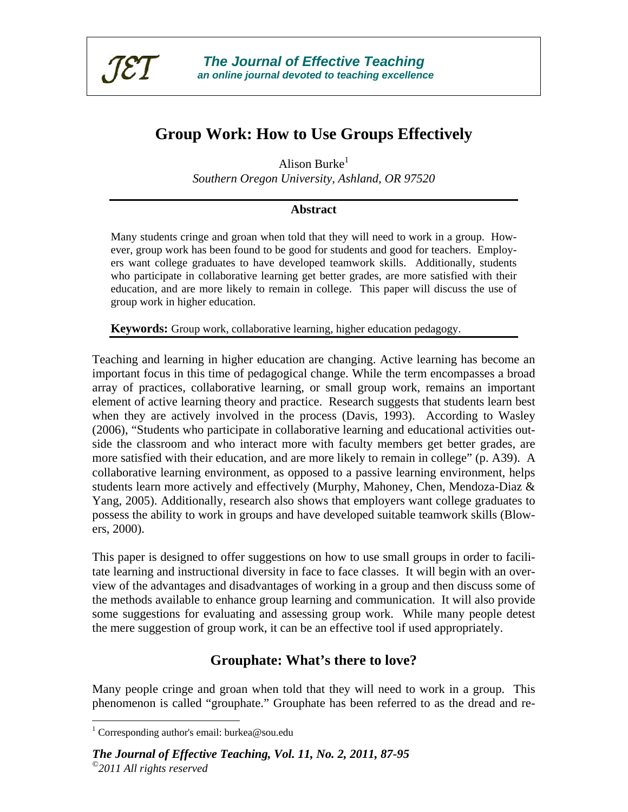

# **Group Work: How to Use Groups Effectively**

Alison Burke $<sup>1</sup>$ </sup> *Southern Oregon University, Ashland, OR 97520* 

#### **Abstract**

Many students cringe and groan when told that they will need to work in a group. However, group work has been found to be good for students and good for teachers. Employers want college graduates to have developed teamwork skills. Additionally, students who participate in collaborative learning get better grades, are more satisfied with their education, and are more likely to remain in college. This paper will discuss the use of group work in higher education.

**Keywords:** Group work, collaborative learning, higher education pedagogy.

Teaching and learning in higher education are changing. Active learning has become an important focus in this time of pedagogical change. While the term encompasses a broad array of practices, collaborative learning, or small group work, remains an important element of active learning theory and practice. Research suggests that students learn best when they are actively involved in the process (Davis, 1993). According to Wasley (2006), "Students who participate in collaborative learning and educational activities outside the classroom and who interact more with faculty members get better grades, are more satisfied with their education, and are more likely to remain in college" (p. A39). A collaborative learning environment, as opposed to a passive learning environment, helps students learn more actively and effectively (Murphy, Mahoney, Chen, Mendoza-Diaz & Yang, 2005). Additionally, research also shows that employers want college graduates to possess the ability to work in groups and have developed suitable teamwork skills (Blowers, 2000).

This paper is designed to offer suggestions on how to use small groups in order to facilitate learning and instructional diversity in face to face classes. It will begin with an overview of the advantages and disadvantages of working in a group and then discuss some of the methods available to enhance group learning and communication. It will also provide some suggestions for evaluating and assessing group work. While many people detest the mere suggestion of group work, it can be an effective tool if used appropriately.

## **Grouphate: What's there to love?**

Many people cringe and groan when told that they will need to work in a group. This phenomenon is called "grouphate." Grouphate has been referred to as the dread and re-

 $\overline{a}$ 

<sup>&</sup>lt;sup>1</sup> Corresponding author's email: burkea@sou.edu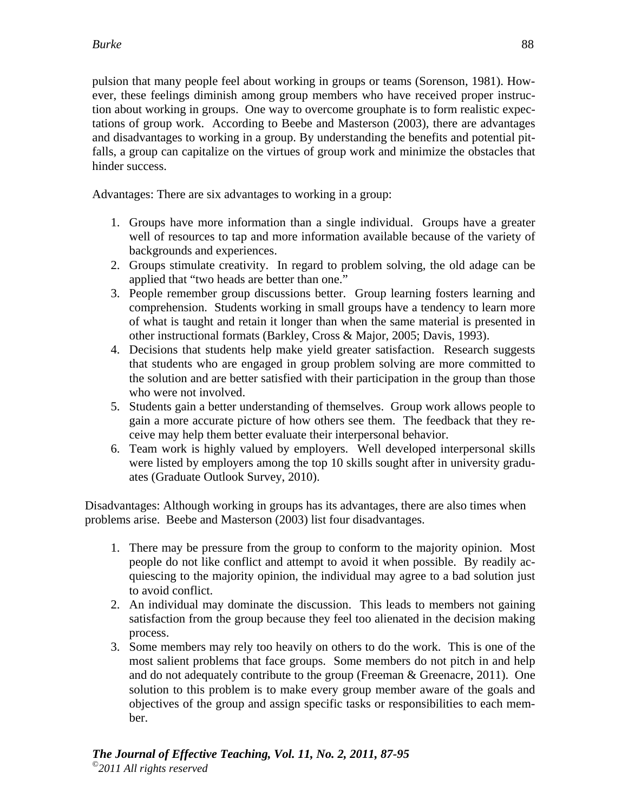pulsion that many people feel about working in groups or teams (Sorenson, 1981). However, these feelings diminish among group members who have received proper instruction about working in groups. One way to overcome grouphate is to form realistic expectations of group work. According to Beebe and Masterson (2003), there are advantages and disadvantages to working in a group. By understanding the benefits and potential pitfalls, a group can capitalize on the virtues of group work and minimize the obstacles that hinder success.

Advantages: There are six advantages to working in a group:

- 1. Groups have more information than a single individual. Groups have a greater well of resources to tap and more information available because of the variety of backgrounds and experiences.
- 2. Groups stimulate creativity. In regard to problem solving, the old adage can be applied that "two heads are better than one."
- 3. People remember group discussions better. Group learning fosters learning and comprehension. Students working in small groups have a tendency to learn more of what is taught and retain it longer than when the same material is presented in other instructional formats (Barkley, Cross & Major, 2005; Davis, 1993).
- 4. Decisions that students help make yield greater satisfaction. Research suggests that students who are engaged in group problem solving are more committed to the solution and are better satisfied with their participation in the group than those who were not involved.
- 5. Students gain a better understanding of themselves. Group work allows people to gain a more accurate picture of how others see them. The feedback that they receive may help them better evaluate their interpersonal behavior.
- 6. Team work is highly valued by employers. Well developed interpersonal skills were listed by employers among the top 10 skills sought after in university graduates (Graduate Outlook Survey, 2010).

Disadvantages: Although working in groups has its advantages, there are also times when problems arise. Beebe and Masterson (2003) list four disadvantages.

- 1. There may be pressure from the group to conform to the majority opinion. Most people do not like conflict and attempt to avoid it when possible. By readily acquiescing to the majority opinion, the individual may agree to a bad solution just to avoid conflict.
- 2. An individual may dominate the discussion. This leads to members not gaining satisfaction from the group because they feel too alienated in the decision making process.
- 3. Some members may rely too heavily on others to do the work. This is one of the most salient problems that face groups. Some members do not pitch in and help and do not adequately contribute to the group (Freeman & Greenacre, 2011). One solution to this problem is to make every group member aware of the goals and objectives of the group and assign specific tasks or responsibilities to each member.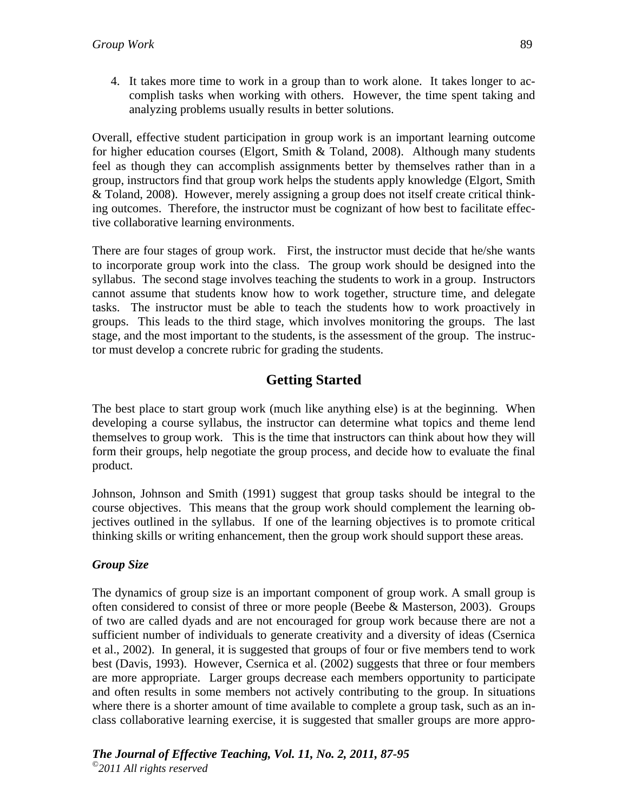4. It takes more time to work in a group than to work alone. It takes longer to accomplish tasks when working with others. However, the time spent taking and analyzing problems usually results in better solutions.

Overall, effective student participation in group work is an important learning outcome for higher education courses (Elgort, Smith & Toland, 2008). Although many students feel as though they can accomplish assignments better by themselves rather than in a group, instructors find that group work helps the students apply knowledge (Elgort, Smith & Toland, 2008). However, merely assigning a group does not itself create critical thinking outcomes. Therefore, the instructor must be cognizant of how best to facilitate effective collaborative learning environments.

There are four stages of group work. First, the instructor must decide that he/she wants to incorporate group work into the class. The group work should be designed into the syllabus. The second stage involves teaching the students to work in a group. Instructors cannot assume that students know how to work together, structure time, and delegate tasks. The instructor must be able to teach the students how to work proactively in groups. This leads to the third stage, which involves monitoring the groups. The last stage, and the most important to the students, is the assessment of the group. The instructor must develop a concrete rubric for grading the students.

## **Getting Started**

The best place to start group work (much like anything else) is at the beginning. When developing a course syllabus, the instructor can determine what topics and theme lend themselves to group work. This is the time that instructors can think about how they will form their groups, help negotiate the group process, and decide how to evaluate the final product.

Johnson, Johnson and Smith (1991) suggest that group tasks should be integral to the course objectives. This means that the group work should complement the learning objectives outlined in the syllabus. If one of the learning objectives is to promote critical thinking skills or writing enhancement, then the group work should support these areas.

## *Group Size*

The dynamics of group size is an important component of group work. A small group is often considered to consist of three or more people (Beebe & Masterson, 2003). Groups of two are called dyads and are not encouraged for group work because there are not a sufficient number of individuals to generate creativity and a diversity of ideas (Csernica et al., 2002). In general, it is suggested that groups of four or five members tend to work best (Davis, 1993). However, Csernica et al. (2002) suggests that three or four members are more appropriate. Larger groups decrease each members opportunity to participate and often results in some members not actively contributing to the group. In situations where there is a shorter amount of time available to complete a group task, such as an inclass collaborative learning exercise, it is suggested that smaller groups are more appro-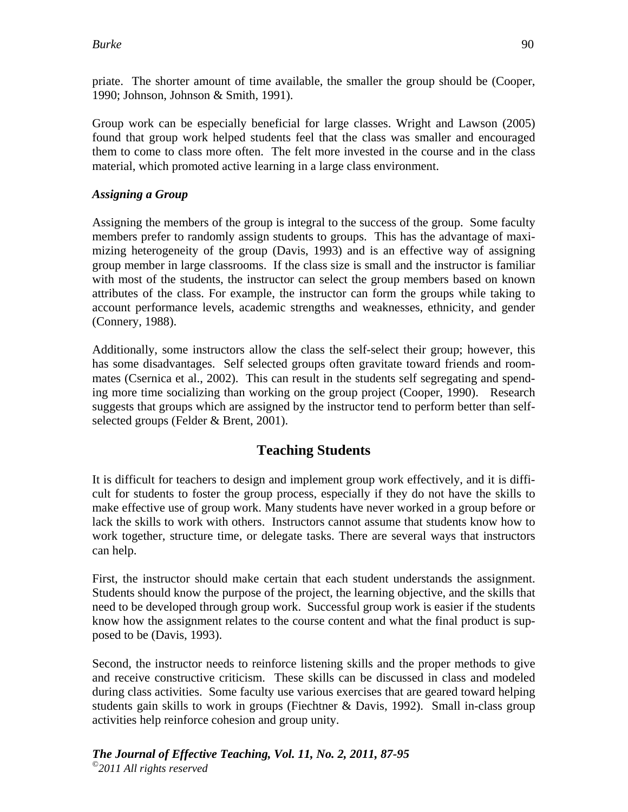priate. The shorter amount of time available, the smaller the group should be (Cooper, 1990; Johnson, Johnson & Smith, 1991).

Group work can be especially beneficial for large classes. Wright and Lawson (2005) found that group work helped students feel that the class was smaller and encouraged them to come to class more often. The felt more invested in the course and in the class material, which promoted active learning in a large class environment.

#### *Assigning a Group*

Assigning the members of the group is integral to the success of the group. Some faculty members prefer to randomly assign students to groups. This has the advantage of maximizing heterogeneity of the group (Davis, 1993) and is an effective way of assigning group member in large classrooms. If the class size is small and the instructor is familiar with most of the students, the instructor can select the group members based on known attributes of the class. For example, the instructor can form the groups while taking to account performance levels, academic strengths and weaknesses, ethnicity, and gender (Connery, 1988).

Additionally, some instructors allow the class the self-select their group; however, this has some disadvantages. Self selected groups often gravitate toward friends and roommates (Csernica et al., 2002). This can result in the students self segregating and spending more time socializing than working on the group project (Cooper, 1990). Research suggests that groups which are assigned by the instructor tend to perform better than selfselected groups (Felder & Brent, 2001).

## **Teaching Students**

It is difficult for teachers to design and implement group work effectively, and it is difficult for students to foster the group process, especially if they do not have the skills to make effective use of group work. Many students have never worked in a group before or lack the skills to work with others. Instructors cannot assume that students know how to work together, structure time, or delegate tasks. There are several ways that instructors can help.

First, the instructor should make certain that each student understands the assignment. Students should know the purpose of the project, the learning objective, and the skills that need to be developed through group work. Successful group work is easier if the students know how the assignment relates to the course content and what the final product is supposed to be (Davis, 1993).

Second, the instructor needs to reinforce listening skills and the proper methods to give and receive constructive criticism. These skills can be discussed in class and modeled during class activities. Some faculty use various exercises that are geared toward helping students gain skills to work in groups (Fiechtner & Davis, 1992). Small in-class group activities help reinforce cohesion and group unity.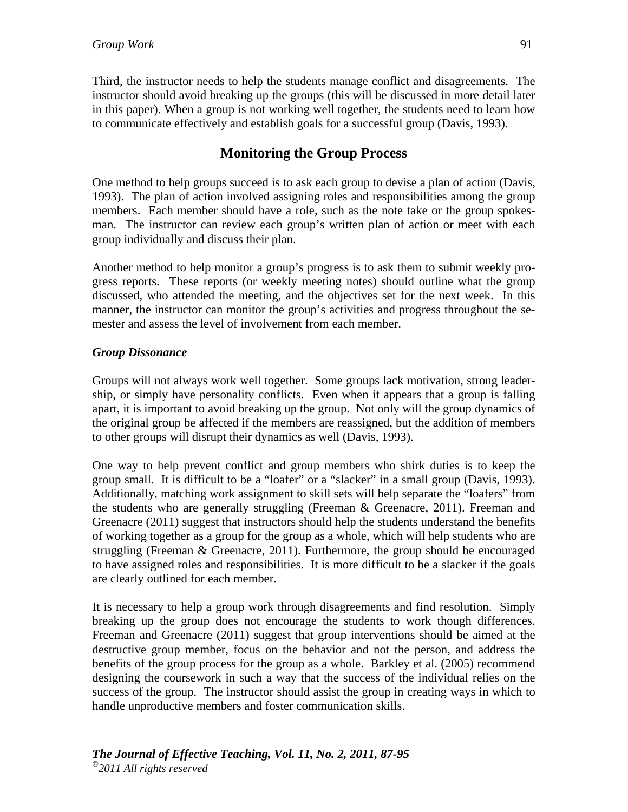Third, the instructor needs to help the students manage conflict and disagreements. The instructor should avoid breaking up the groups (this will be discussed in more detail later in this paper). When a group is not working well together, the students need to learn how to communicate effectively and establish goals for a successful group (Davis, 1993).

## **Monitoring the Group Process**

One method to help groups succeed is to ask each group to devise a plan of action (Davis, 1993). The plan of action involved assigning roles and responsibilities among the group members. Each member should have a role, such as the note take or the group spokesman. The instructor can review each group's written plan of action or meet with each group individually and discuss their plan.

Another method to help monitor a group's progress is to ask them to submit weekly progress reports. These reports (or weekly meeting notes) should outline what the group discussed, who attended the meeting, and the objectives set for the next week. In this manner, the instructor can monitor the group's activities and progress throughout the semester and assess the level of involvement from each member.

## *Group Dissonance*

Groups will not always work well together. Some groups lack motivation, strong leadership, or simply have personality conflicts. Even when it appears that a group is falling apart, it is important to avoid breaking up the group. Not only will the group dynamics of the original group be affected if the members are reassigned, but the addition of members to other groups will disrupt their dynamics as well (Davis, 1993).

One way to help prevent conflict and group members who shirk duties is to keep the group small. It is difficult to be a "loafer" or a "slacker" in a small group (Davis, 1993). Additionally, matching work assignment to skill sets will help separate the "loafers" from the students who are generally struggling (Freeman & Greenacre, 2011). Freeman and Greenacre (2011) suggest that instructors should help the students understand the benefits of working together as a group for the group as a whole, which will help students who are struggling (Freeman & Greenacre, 2011). Furthermore, the group should be encouraged to have assigned roles and responsibilities. It is more difficult to be a slacker if the goals are clearly outlined for each member.

It is necessary to help a group work through disagreements and find resolution. Simply breaking up the group does not encourage the students to work though differences. Freeman and Greenacre (2011) suggest that group interventions should be aimed at the destructive group member, focus on the behavior and not the person, and address the benefits of the group process for the group as a whole. Barkley et al. (2005) recommend designing the coursework in such a way that the success of the individual relies on the success of the group. The instructor should assist the group in creating ways in which to handle unproductive members and foster communication skills.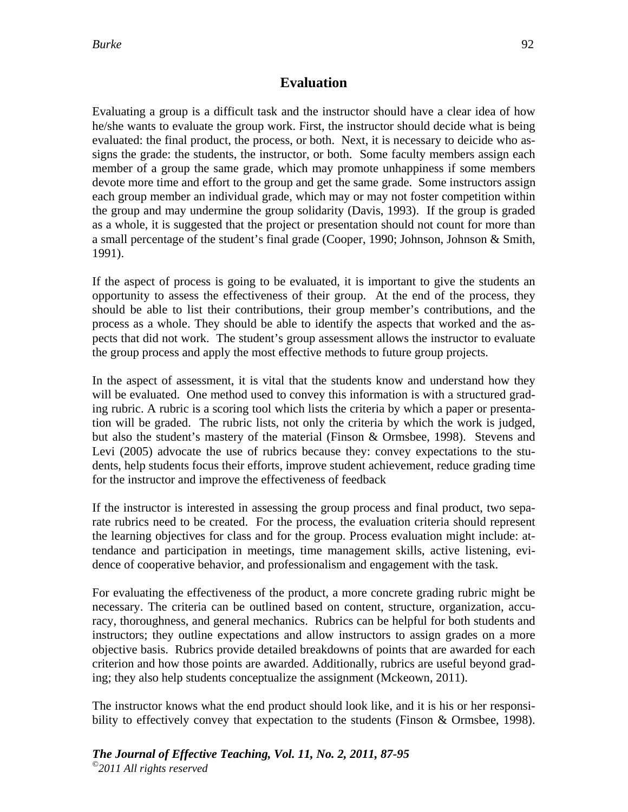## **Evaluation**

Evaluating a group is a difficult task and the instructor should have a clear idea of how he/she wants to evaluate the group work. First, the instructor should decide what is being evaluated: the final product, the process, or both. Next, it is necessary to deicide who assigns the grade: the students, the instructor, or both. Some faculty members assign each member of a group the same grade, which may promote unhappiness if some members devote more time and effort to the group and get the same grade. Some instructors assign each group member an individual grade, which may or may not foster competition within the group and may undermine the group solidarity (Davis, 1993). If the group is graded as a whole, it is suggested that the project or presentation should not count for more than a small percentage of the student's final grade (Cooper, 1990; Johnson, Johnson & Smith, 1991).

If the aspect of process is going to be evaluated, it is important to give the students an opportunity to assess the effectiveness of their group. At the end of the process, they should be able to list their contributions, their group member's contributions, and the process as a whole. They should be able to identify the aspects that worked and the aspects that did not work. The student's group assessment allows the instructor to evaluate the group process and apply the most effective methods to future group projects.

In the aspect of assessment, it is vital that the students know and understand how they will be evaluated. One method used to convey this information is with a structured grading rubric. A rubric is a scoring tool which lists the criteria by which a paper or presentation will be graded. The rubric lists, not only the criteria by which the work is judged, but also the student's mastery of the material (Finson & Ormsbee, 1998). Stevens and Levi (2005) advocate the use of rubrics because they: convey expectations to the students, help students focus their efforts, improve student achievement, reduce grading time for the instructor and improve the effectiveness of feedback

If the instructor is interested in assessing the group process and final product, two separate rubrics need to be created. For the process, the evaluation criteria should represent the learning objectives for class and for the group. Process evaluation might include: attendance and participation in meetings, time management skills, active listening, evidence of cooperative behavior, and professionalism and engagement with the task.

For evaluating the effectiveness of the product, a more concrete grading rubric might be necessary. The criteria can be outlined based on content, structure, organization, accuracy, thoroughness, and general mechanics. Rubrics can be helpful for both students and instructors; they outline expectations and allow instructors to assign grades on a more objective basis. Rubrics provide detailed breakdowns of points that are awarded for each criterion and how those points are awarded. Additionally, rubrics are useful beyond grading; they also help students conceptualize the assignment (Mckeown, 2011).

The instructor knows what the end product should look like, and it is his or her responsibility to effectively convey that expectation to the students (Finson & Ormsbee, 1998).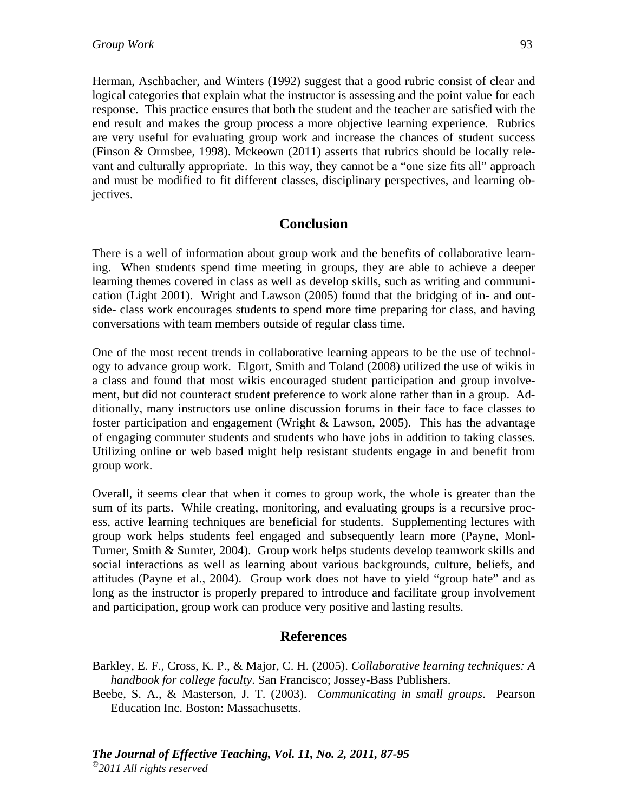Herman, Aschbacher, and Winters (1992) suggest that a good rubric consist of clear and logical categories that explain what the instructor is assessing and the point value for each response. This practice ensures that both the student and the teacher are satisfied with the end result and makes the group process a more objective learning experience. Rubrics are very useful for evaluating group work and increase the chances of student success (Finson & Ormsbee, 1998). Mckeown (2011) asserts that rubrics should be locally relevant and culturally appropriate. In this way, they cannot be a "one size fits all" approach and must be modified to fit different classes, disciplinary perspectives, and learning objectives.

### **Conclusion**

There is a well of information about group work and the benefits of collaborative learning. When students spend time meeting in groups, they are able to achieve a deeper learning themes covered in class as well as develop skills, such as writing and communication (Light 2001). Wright and Lawson (2005) found that the bridging of in- and outside- class work encourages students to spend more time preparing for class, and having conversations with team members outside of regular class time.

One of the most recent trends in collaborative learning appears to be the use of technology to advance group work. Elgort, Smith and Toland (2008) utilized the use of wikis in a class and found that most wikis encouraged student participation and group involvement, but did not counteract student preference to work alone rather than in a group. Additionally, many instructors use online discussion forums in their face to face classes to foster participation and engagement (Wright & Lawson, 2005). This has the advantage of engaging commuter students and students who have jobs in addition to taking classes. Utilizing online or web based might help resistant students engage in and benefit from group work.

Overall, it seems clear that when it comes to group work, the whole is greater than the sum of its parts. While creating, monitoring, and evaluating groups is a recursive process, active learning techniques are beneficial for students. Supplementing lectures with group work helps students feel engaged and subsequently learn more (Payne, Monl-Turner, Smith & Sumter, 2004). Group work helps students develop teamwork skills and social interactions as well as learning about various backgrounds, culture, beliefs, and attitudes (Payne et al., 2004). Group work does not have to yield "group hate" and as long as the instructor is properly prepared to introduce and facilitate group involvement and participation, group work can produce very positive and lasting results.

#### **References**

Barkley, E. F., Cross, K. P., & Major, C. H. (2005). *Collaborative learning techniques: A handbook for college faculty*. San Francisco; Jossey-Bass Publishers.

Beebe, S. A., & Masterson, J. T. (2003). *Communicating in small groups*. Pearson Education Inc. Boston: Massachusetts.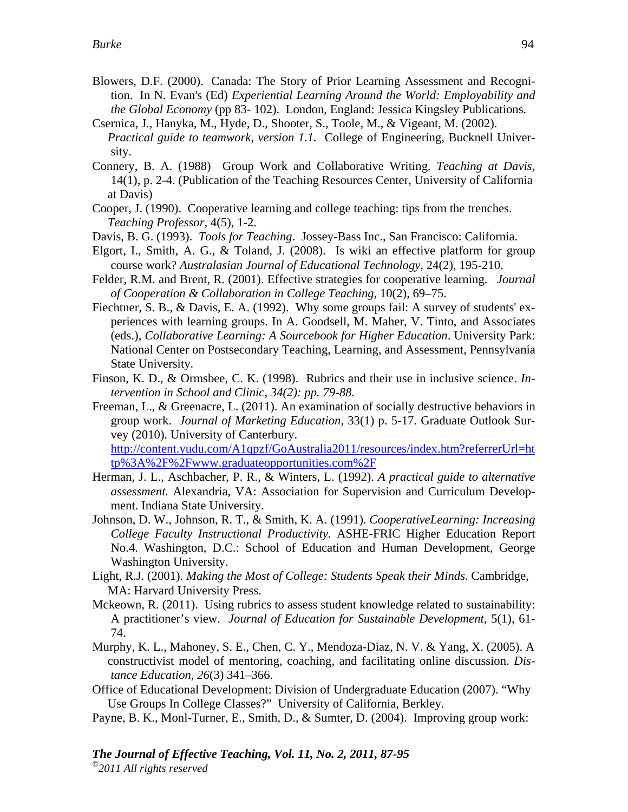- Blowers, D.F. (2000). Canada: The Story of Prior Learning Assessment and Recognition. In N. Evan's (Ed) *Experiential Learning Around the World: Employability and the Global Economy* (pp 83- 102). London, England: Jessica Kingsley Publications.
- Csernica, J., Hanyka, M., Hyde, D., Shooter, S., Toole, M., & Vigeant, M. (2002). *Practical guide to teamwork, version 1.1.* College of Engineering, Bucknell University.
- Connery, B. A. (1988) Group Work and Collaborative Writing. *Teaching at Davis*, 14(1), p. 2-4. (Publication of the Teaching Resources Center, University of California at Davis)
- Cooper, J. (1990). Cooperative learning and college teaching: tips from the trenches. *Teaching Professor*, 4(5), 1-2.
- Davis, B. G. (1993). *Tools for Teaching*. Jossey-Bass Inc., San Francisco: California.
- Elgort, I., Smith, A. G., & Toland, J. (2008). Is wiki an effective platform for group course work? *Australasian Journal of Educational Technology*, 24(2), 195-210.
- Felder, R.M. and Brent, R. (2001). Effective strategies for cooperative learning. *Journal of Cooperation & Collaboration in College Teaching*, 10(2), 69–75.
- Fiechtner, S. B., & Davis, E. A. (1992). Why some groups fail: A survey of students' experiences with learning groups. In A. Goodsell, M. Maher, V. Tinto, and Associates (eds.), *Collaborative Learning: A Sourcebook for Higher Education*. University Park: National Center on Postsecondary Teaching, Learning, and Assessment, Pennsylvania State University.
- Finson, K. D., & Ormsbee, C. K. (1998). Rubrics and their use in inclusive science. *Intervention in School and Clinic, 34(2): pp. 79-88.*
- Freeman, L., & Greenacre, L. (2011). An examination of socially destructive behaviors in group work. *Journal of Marketing Education,* 33(1) p. 5-17. Graduate Outlook Survey (2010). University of Canterbury. http://content.yudu.com/A1qpzf/GoAustralia2011/resources/index.htm?referrerUrl=ht tp%3A%2F%2Fwww.graduateopportunities.com%2F
- Herman, J. L., Aschbacher, P. R., & Winters, L. (1992). *A practical guide to alternative assessment.* Alexandria, VA: Association for Supervision and Curriculum Development. Indiana State University.
- Johnson, D. W., Johnson, R. T., & Smith, K. A. (1991). *CooperativeLearning: Increasing College Faculty Instructional Productivity.* ASHE-FRIC Higher Education Report No.4. Washington, D.C.: School of Education and Human Development, George Washington University.
- Light, R.J. (2001). *Making the Most of College: Students Speak their Minds*. Cambridge, MA: Harvard University Press.
- Mckeown, R. (2011). Using rubrics to assess student knowledge related to sustainability: A practitioner's view. *Journal of Education for Sustainable Development*, 5(1), 61- 74.
- Murphy, K. L., Mahoney, S. E., Chen, C. Y., Mendoza-Diaz, N. V. & Yang, X. (2005). A constructivist model of mentoring, coaching, and facilitating online discussion. *Distance Education*, *26*(3) 341–366.
- Office of Educational Development: Division of Undergraduate Education (2007). "Why Use Groups In College Classes?" University of California, Berkley.
- Payne, B. K., Monl-Turner, E., Smith, D., & Sumter, D. (2004). Improving group work: